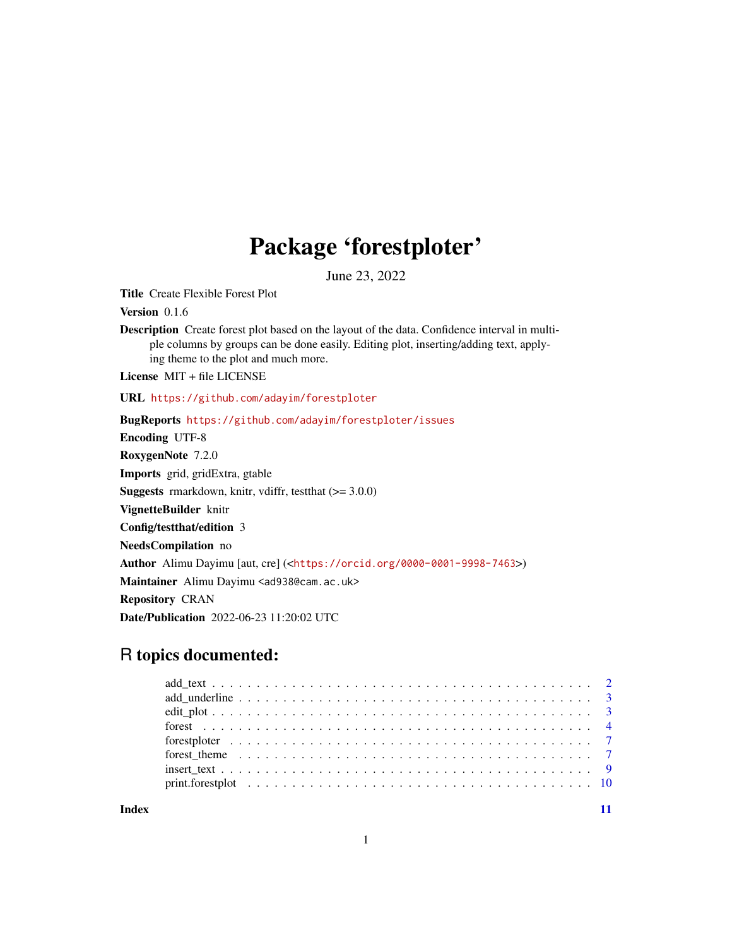## Package 'forestploter'

June 23, 2022

<span id="page-0-0"></span>Title Create Flexible Forest Plot

Version 0.1.6

Description Create forest plot based on the layout of the data. Confidence interval in multiple columns by groups can be done easily. Editing plot, inserting/adding text, applying theme to the plot and much more.

License MIT + file LICENSE

URL <https://github.com/adayim/forestploter>

BugReports <https://github.com/adayim/forestploter/issues> Encoding UTF-8 RoxygenNote 7.2.0 Imports grid, gridExtra, gtable **Suggests** rmarkdown, knitr, vdiffr, testthat  $(>= 3.0.0)$ VignetteBuilder knitr Config/testthat/edition 3 NeedsCompilation no Author Alimu Dayimu [aut, cre] (<<https://orcid.org/0000-0001-9998-7463>>) Maintainer Alimu Dayimu <ad938@cam.ac.uk> Repository CRAN Date/Publication 2022-06-23 11:20:02 UTC

### R topics documented:

**Index** [11](#page-10-0)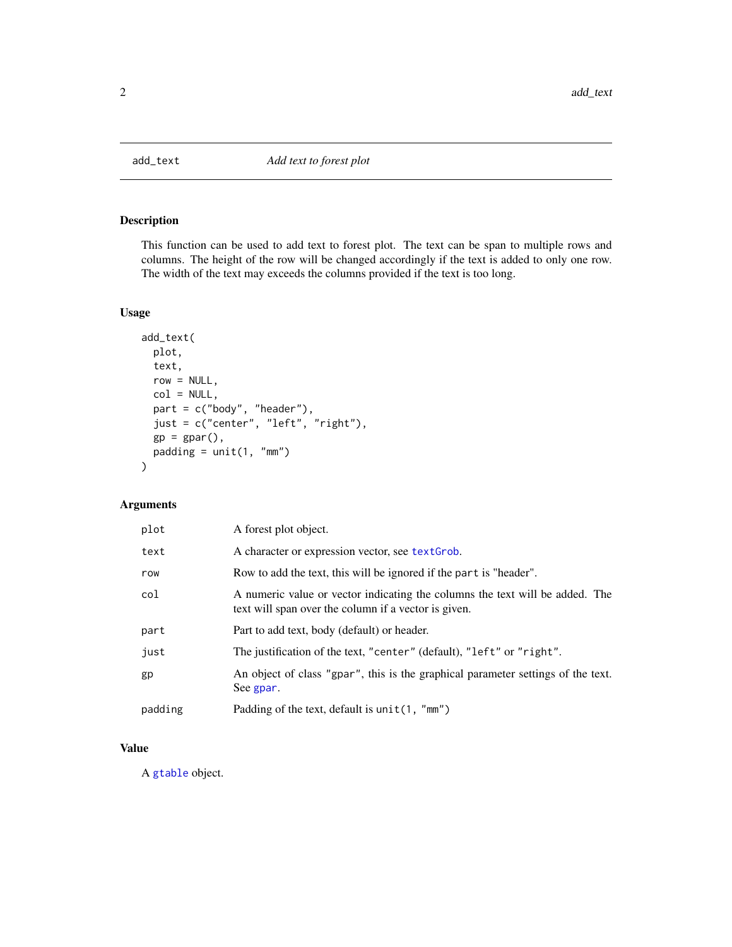<span id="page-1-0"></span>

#### Description

This function can be used to add text to forest plot. The text can be span to multiple rows and columns. The height of the row will be changed accordingly if the text is added to only one row. The width of the text may exceeds the columns provided if the text is too long.

#### Usage

```
add_text(
 plot,
  text,
  row = NULL,col = NULL,part = c("body", "header"),
  just = c("center", "left", "right"),
  gp = gpar(),
 padding = unit(1, "mm")\mathcal{L}
```
#### Arguments

| plot    | A forest plot object.                                                                                                                |
|---------|--------------------------------------------------------------------------------------------------------------------------------------|
| text    | A character or expression vector, see text Grob.                                                                                     |
| row     | Row to add the text, this will be ignored if the part is "header".                                                                   |
| col     | A numeric value or vector indicating the columns the text will be added. The<br>text will span over the column if a vector is given. |
| part    | Part to add text, body (default) or header.                                                                                          |
| just    | The justification of the text, "center" (default), "left" or "right".                                                                |
| gp      | An object of class "gpar", this is the graphical parameter settings of the text.<br>See gpar.                                        |
| padding | Padding of the text, default is $unit(1, "mm")$                                                                                      |

#### Value

A [gtable](#page-0-0) object.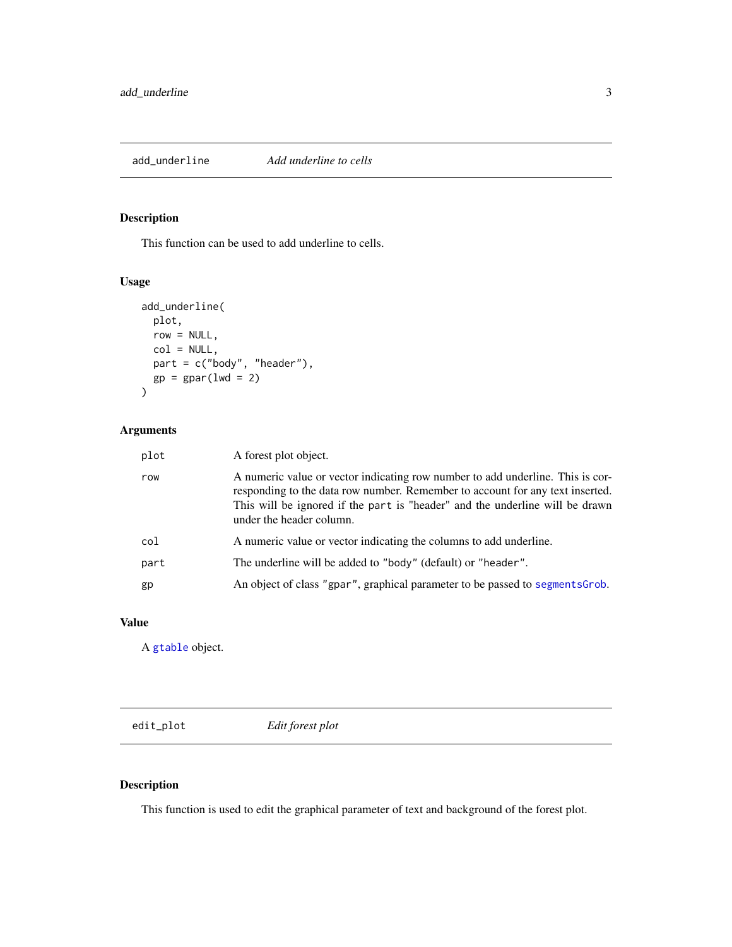<span id="page-2-0"></span>

#### Description

This function can be used to add underline to cells.

#### Usage

```
add_underline(
 plot,
 row = NULL,col = NULL,part = c("body", "header"),
 gp = gpar(lwd = 2))
```
#### Arguments

| plot | A forest plot object.                                                                                                                                                                                                                                                       |
|------|-----------------------------------------------------------------------------------------------------------------------------------------------------------------------------------------------------------------------------------------------------------------------------|
| row  | A numeric value or vector indicating row number to add underline. This is cor-<br>responding to the data row number. Remember to account for any text inserted.<br>This will be ignored if the part is "header" and the underline will be drawn<br>under the header column. |
| col  | A numeric value or vector indicating the columns to add underline.                                                                                                                                                                                                          |
| part | The underline will be added to "body" (default) or "header".                                                                                                                                                                                                                |
| gp   | An object of class "gpar", graphical parameter to be passed to segments Grob.                                                                                                                                                                                               |
|      |                                                                                                                                                                                                                                                                             |

#### Value

A [gtable](#page-0-0) object.

edit\_plot *Edit forest plot*

#### Description

This function is used to edit the graphical parameter of text and background of the forest plot.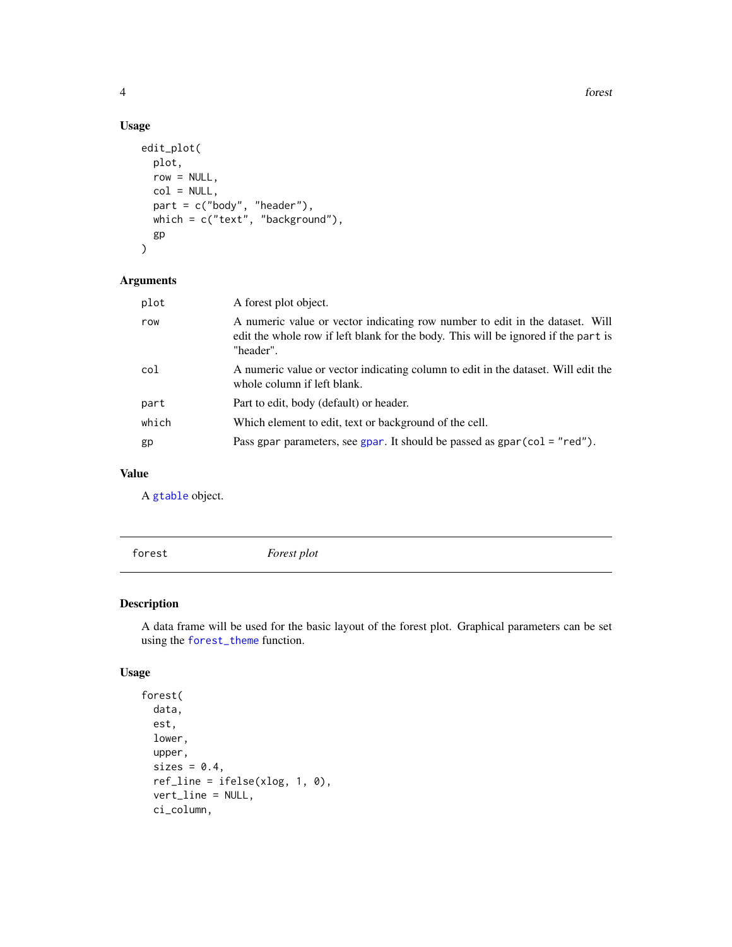4 forest

#### Usage

```
edit_plot(
 plot,
  row = NULL,col = NULL,part = c("body", "header"),
 which = c("text", "background"),
  gp
)
```
#### Arguments

| plot  | A forest plot object.                                                                                                                                                           |
|-------|---------------------------------------------------------------------------------------------------------------------------------------------------------------------------------|
| row   | A numeric value or vector indicating row number to edit in the dataset. Will<br>edit the whole row if left blank for the body. This will be ignored if the part is<br>"header". |
| col   | A numeric value or vector indicating column to edit in the dataset. Will edit the<br>whole column if left blank.                                                                |
| part  | Part to edit, body (default) or header.                                                                                                                                         |
| which | Which element to edit, text or background of the cell.                                                                                                                          |
| gp    | Pass gpar parameters, see gpar. It should be passed as $gpar(col = "red").$                                                                                                     |
|       |                                                                                                                                                                                 |

#### Value

A [gtable](#page-0-0) object.

forest *Forest plot*

#### Description

A data frame will be used for the basic layout of the forest plot. Graphical parameters can be set using the [forest\\_theme](#page-6-1) function.

#### Usage

```
forest(
  data,
 est,
  lower,
 upper,
  sizes = 0.4,
  ref_line = ifelse(xlog, 1, 0),
  vert_line = NULL,
  ci_column,
```
<span id="page-3-0"></span>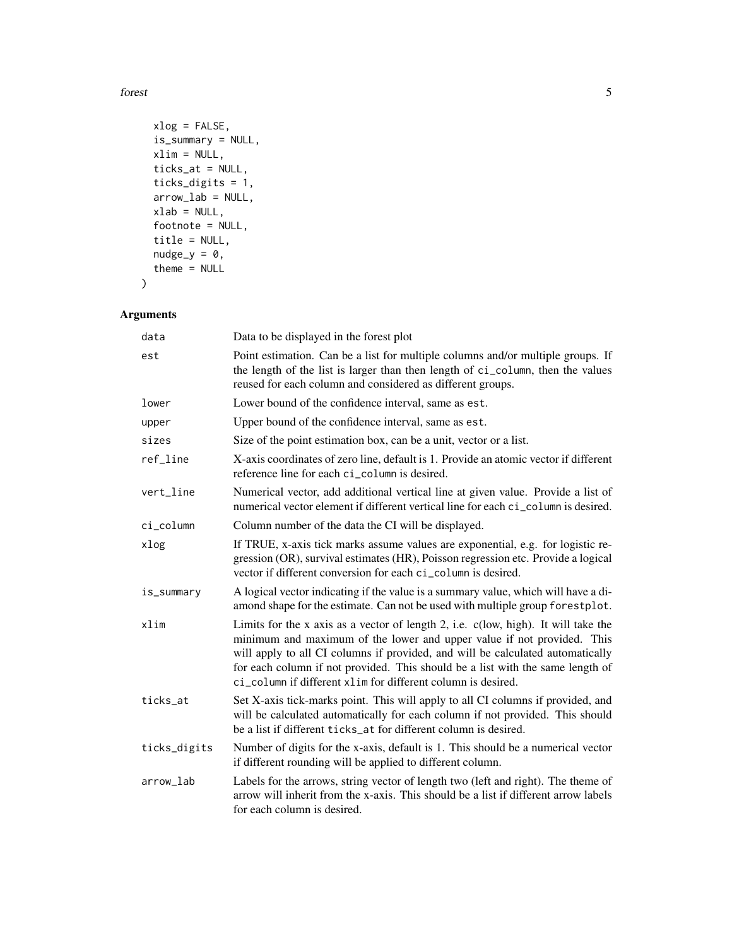forest 5

```
xlog = FALSE,
 is_summary = NULL,
 xlim = NULL,ticks_at = NULL,
  ticks_digits = 1,
 arrow_lab = NULL,
 xlab = NULL,
 footnote = NULL,
  title = NULL,
 nudge_y = 0,
 theme = NULL
\mathcal{L}
```
#### Arguments

| data         | Data to be displayed in the forest plot                                                                                                                                                                                                                                                                                                                                                          |
|--------------|--------------------------------------------------------------------------------------------------------------------------------------------------------------------------------------------------------------------------------------------------------------------------------------------------------------------------------------------------------------------------------------------------|
| est          | Point estimation. Can be a list for multiple columns and/or multiple groups. If<br>the length of the list is larger than then length of ci_column, then the values<br>reused for each column and considered as different groups.                                                                                                                                                                 |
| lower        | Lower bound of the confidence interval, same as est.                                                                                                                                                                                                                                                                                                                                             |
| upper        | Upper bound of the confidence interval, same as est.                                                                                                                                                                                                                                                                                                                                             |
| sizes        | Size of the point estimation box, can be a unit, vector or a list.                                                                                                                                                                                                                                                                                                                               |
| ref_line     | X-axis coordinates of zero line, default is 1. Provide an atomic vector if different<br>reference line for each ci_column is desired.                                                                                                                                                                                                                                                            |
| vert_line    | Numerical vector, add additional vertical line at given value. Provide a list of<br>numerical vector element if different vertical line for each ci_column is desired.                                                                                                                                                                                                                           |
| ci_column    | Column number of the data the CI will be displayed.                                                                                                                                                                                                                                                                                                                                              |
| xlog         | If TRUE, x-axis tick marks assume values are exponential, e.g. for logistic re-<br>gression (OR), survival estimates (HR), Poisson regression etc. Provide a logical<br>vector if different conversion for each ci_column is desired.                                                                                                                                                            |
| is_summary   | A logical vector indicating if the value is a summary value, which will have a di-<br>amond shape for the estimate. Can not be used with multiple group forestplot.                                                                                                                                                                                                                              |
| xlim         | Limits for the x axis as a vector of length 2, i.e. c(low, high). It will take the<br>minimum and maximum of the lower and upper value if not provided. This<br>will apply to all CI columns if provided, and will be calculated automatically<br>for each column if not provided. This should be a list with the same length of<br>ci_column if different xlim for different column is desired. |
| ticks_at     | Set X-axis tick-marks point. This will apply to all CI columns if provided, and<br>will be calculated automatically for each column if not provided. This should<br>be a list if different ticks_at for different column is desired.                                                                                                                                                             |
| ticks_digits | Number of digits for the x-axis, default is 1. This should be a numerical vector<br>if different rounding will be applied to different column.                                                                                                                                                                                                                                                   |
| arrow_lab    | Labels for the arrows, string vector of length two (left and right). The theme of<br>arrow will inherit from the x-axis. This should be a list if different arrow labels<br>for each column is desired.                                                                                                                                                                                          |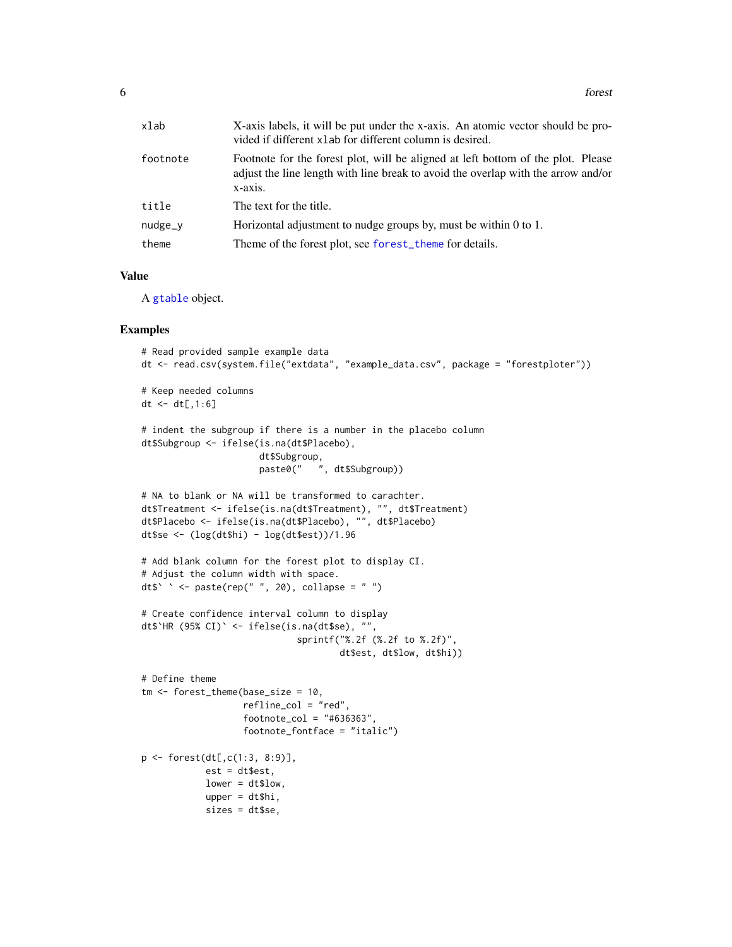<span id="page-5-0"></span>

| xlab     | X-axis labels, it will be put under the x-axis. An atomic vector should be pro-<br>vided if different xlab for different column is desired.                                      |
|----------|----------------------------------------------------------------------------------------------------------------------------------------------------------------------------------|
| footnote | Footnote for the forest plot, will be aligned at left bottom of the plot. Please<br>adjust the line length with line break to avoid the overlap with the arrow and/or<br>x-axis. |
| title    | The text for the title.                                                                                                                                                          |
| nudge_v  | Horizontal adjustment to nudge groups by, must be within $0$ to $1$ .                                                                                                            |
| theme    | Theme of the forest plot, see forest_theme for details.                                                                                                                          |
|          |                                                                                                                                                                                  |

#### Value

A [gtable](#page-0-0) object.

#### Examples

```
# Read provided sample example data
dt <- read.csv(system.file("extdata", "example_data.csv", package = "forestploter"))
# Keep needed columns
dt \leq dt[1:6]# indent the subgroup if there is a number in the placebo column
dt$Subgroup <- ifelse(is.na(dt$Placebo),
                      dt$Subgroup,
                      paste0(" ", dt$Subgroup))
# NA to blank or NA will be transformed to carachter.
dt$Treatment <- ifelse(is.na(dt$Treatment), "", dt$Treatment)
dt$Placebo <- ifelse(is.na(dt$Placebo), "", dt$Placebo)
dt$se <- (log(dt$hi) - log(dt$est))/1.96
# Add blank column for the forest plot to display CI.
# Adjust the column width with space.
dt$` ` <- paste(rep(" ", 20), collapse = " ")
# Create confidence interval column to display
dt$`HR (95% CI)` <- ifelse(is.na(dt$se), "",
                             sprintf("%.2f (%.2f to %.2f)",
                                     dt$est, dt$low, dt$hi))
# Define theme
tm <- forest_theme(base_size = 10,
                  refline_col = "red",
                   footnote\_col = "#636363",footnote_fontface = "italic")
p <- forest(dt[,c(1:3, 8:9)],
            est = dt$est,
            lower = dt$low,
            upper = dt$hi,
            sizes = dt$se,
```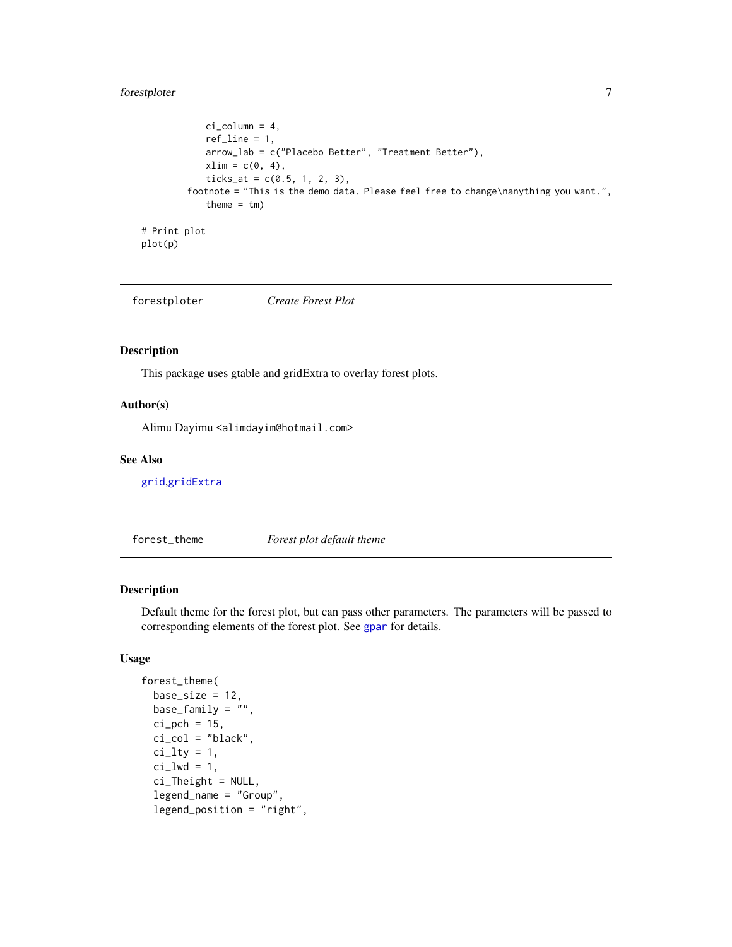#### <span id="page-6-0"></span>forestploter 7

```
ci_column = 4,
            ref_line = 1,
            arrow_lab = c("Placebo Better", "Treatment Better"),
            xlim = c(0, 4),ticks_at = c(0.5, 1, 2, 3),
        footnote = "This is the demo data. Please feel free to change\nanything you want.",
            theme = tm)
# Print plot
plot(p)
```
forestploter *Create Forest Plot*

#### Description

This package uses gtable and gridExtra to overlay forest plots.

#### Author(s)

Alimu Dayimu <alimdayim@hotmail.com>

#### See Also

[grid](#page-0-0),[gridExtra](#page-0-0)

<span id="page-6-1"></span>forest\_theme *Forest plot default theme*

#### Description

Default theme for the forest plot, but can pass other parameters. The parameters will be passed to corresponding elements of the forest plot. See [gpar](#page-0-0) for details.

#### Usage

```
forest_theme(
  base_size = 12,
 base_family = "",
  ci pch = 15,
  ci_{col} = "black",ci_lty = 1,
  ci_lwd = 1,
  ci_Theight = NULL,
  legend_name = "Group",
  legend_position = "right",
```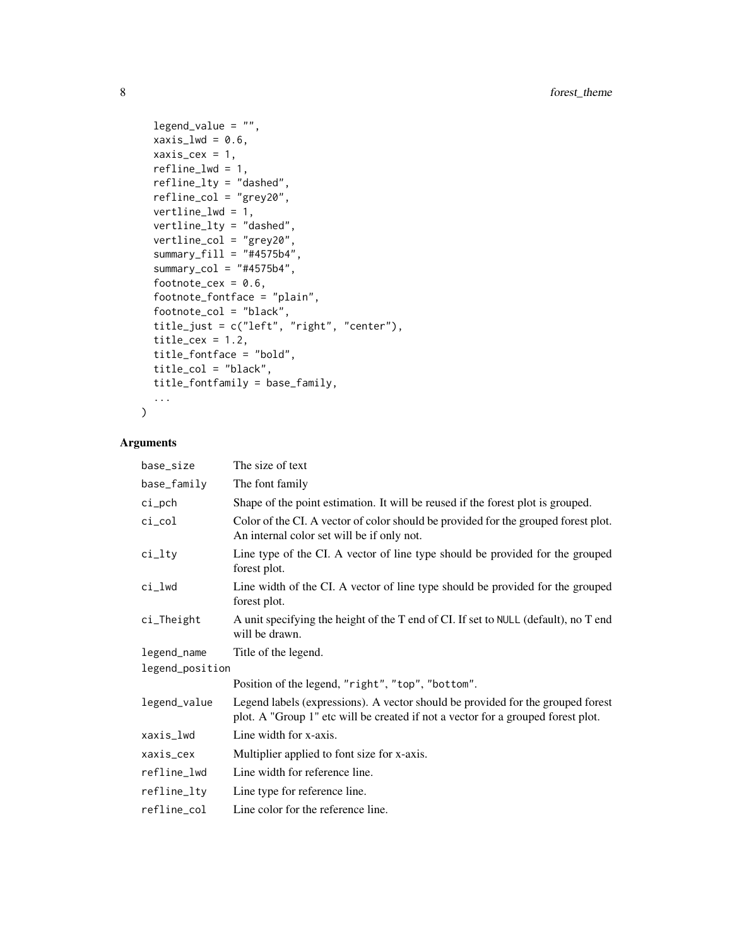```
legend_value = "",xaxis_lwd = 0.6,
 xaxis_cex = 1,
  refline_lwd = 1,
  refline_lty = "dashed",
  refline_col = "grey20",
 vertline_lwd = 1,
  vertline_lty = "dashed",
  vertline_col = "grey20",
  summary_fill = "#4575b4",
  summary_col = "#4575b4",
  footnote_cex = 0.6,
  footnote_fontface = "plain",
  footnote_col = "black",
  title_just = c("left", "right", "center"),
  title_cex = 1.2,
  title_fontface = "bold",
  title_col = "black",
  title_fontfamily = base_family,
  ...
\mathcal{L}
```
#### Arguments

| base_size       | The size of text                                                                                                                                                    |
|-----------------|---------------------------------------------------------------------------------------------------------------------------------------------------------------------|
| base_family     | The font family                                                                                                                                                     |
| ci_pch          | Shape of the point estimation. It will be reused if the forest plot is grouped.                                                                                     |
| ci_col          | Color of the CI. A vector of color should be provided for the grouped forest plot.<br>An internal color set will be if only not.                                    |
| ci_lty          | Line type of the CI. A vector of line type should be provided for the grouped<br>forest plot.                                                                       |
| ci_lwd          | Line width of the CI. A vector of line type should be provided for the grouped<br>forest plot.                                                                      |
| ci_Theight      | A unit specifying the height of the T end of CI. If set to NULL (default), no T end<br>will be drawn.                                                               |
| legend_name     | Title of the legend.                                                                                                                                                |
| legend_position |                                                                                                                                                                     |
|                 | Position of the legend, "right", "top", "bottom".                                                                                                                   |
| legend_value    | Legend labels (expressions). A vector should be provided for the grouped forest<br>plot. A "Group 1" etc will be created if not a vector for a grouped forest plot. |
| xaxis_lwd       | Line width for x-axis.                                                                                                                                              |
| xaxis_cex       | Multiplier applied to font size for x-axis.                                                                                                                         |
| refline_lwd     | Line width for reference line.                                                                                                                                      |
| refline_lty     | Line type for reference line.                                                                                                                                       |
| refline_col     | Line color for the reference line.                                                                                                                                  |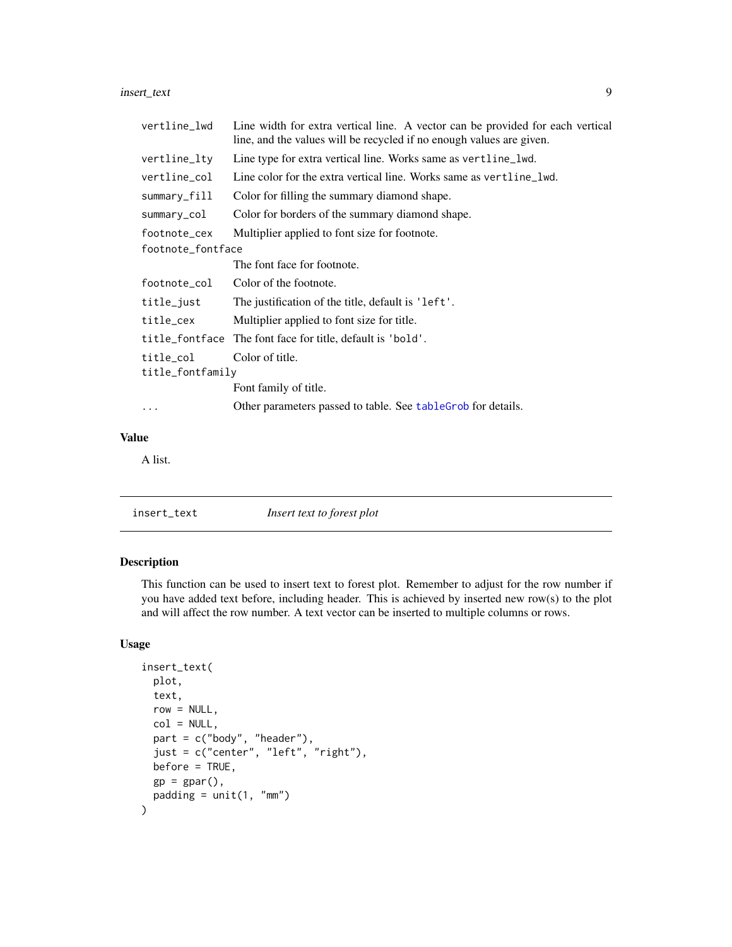<span id="page-8-0"></span>insert\_text 9

| vertline_lwd      | Line width for extra vertical line. A vector can be provided for each vertical<br>line, and the values will be recycled if no enough values are given. |
|-------------------|--------------------------------------------------------------------------------------------------------------------------------------------------------|
| vertline_lty      | Line type for extra vertical line. Works same as vertline_lwd.                                                                                         |
| vertline_col      | Line color for the extra vertical line. Works same as vertline lwd.                                                                                    |
| summary_fill      | Color for filling the summary diamond shape.                                                                                                           |
| summary_col       | Color for borders of the summary diamond shape.                                                                                                        |
| footnote_cex      | Multiplier applied to font size for footnote.                                                                                                          |
| footnote_fontface |                                                                                                                                                        |
|                   | The font face for footnote.                                                                                                                            |
| footnote_col      | Color of the footnote.                                                                                                                                 |
| title_just        | The justification of the title, default is 'left'.                                                                                                     |
| title_cex         | Multiplier applied to font size for title.                                                                                                             |
|                   | title_fontface The font face for title, default is 'bold'.                                                                                             |
| title_col         | Color of title.                                                                                                                                        |
| title_fontfamily  |                                                                                                                                                        |
|                   | Font family of title.                                                                                                                                  |
| $\cdots$          | Other parameters passed to table. See table Grob for details.                                                                                          |
|                   |                                                                                                                                                        |

#### Value

A list.

| insert_text | Insert text to forest plot |  |
|-------------|----------------------------|--|
|-------------|----------------------------|--|

#### Description

This function can be used to insert text to forest plot. Remember to adjust for the row number if you have added text before, including header. This is achieved by inserted new row(s) to the plot and will affect the row number. A text vector can be inserted to multiple columns or rows.

#### Usage

```
insert_text(
 plot,
  text,
  row = NULL,col = NULL,part = c("body", "header"),just = c("center", "left", "right"),
 before = TRUE,
  gp = gpar(),
 padding = unit(1, "mm")\mathcal{L}
```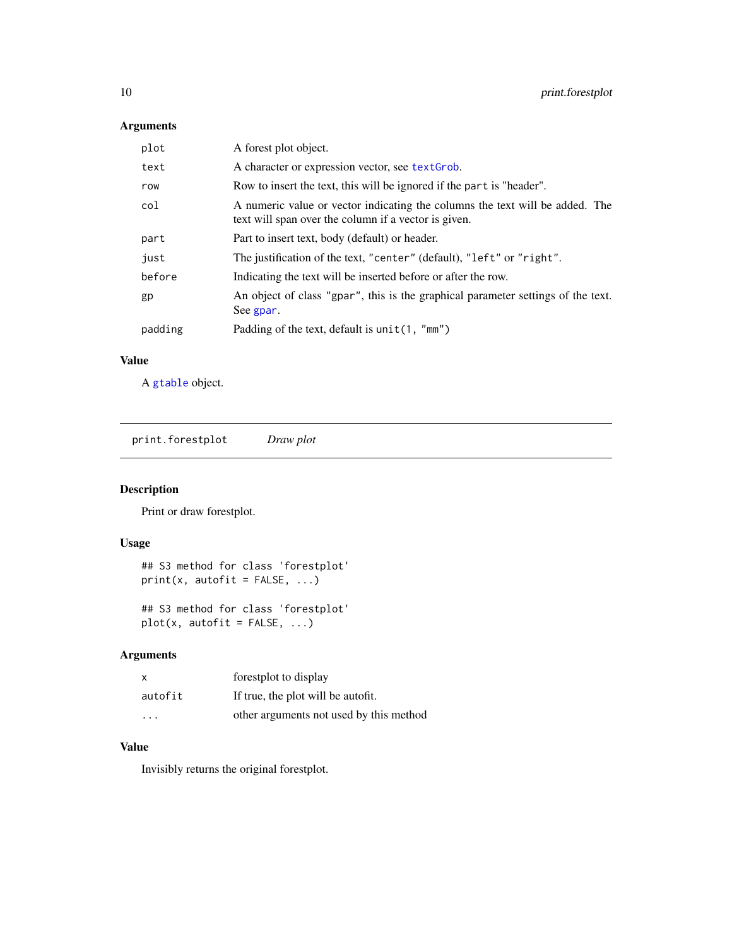#### Arguments

| A character or expression vector, see text Grob.<br>text<br>Row to insert the text, this will be ignored if the part is "header".<br>row<br>col<br>text will span over the column if a vector is given.<br>Part to insert text, body (default) or header.<br>part<br>The justification of the text, "center" (default), "left" or "right".<br>just<br>before<br>Indicating the text will be inserted before or after the row.<br>gp<br>See gpar.<br>Padding of the text, default is unit (1, "mm")<br>padding | plot | A forest plot object.                                                            |
|---------------------------------------------------------------------------------------------------------------------------------------------------------------------------------------------------------------------------------------------------------------------------------------------------------------------------------------------------------------------------------------------------------------------------------------------------------------------------------------------------------------|------|----------------------------------------------------------------------------------|
|                                                                                                                                                                                                                                                                                                                                                                                                                                                                                                               |      |                                                                                  |
|                                                                                                                                                                                                                                                                                                                                                                                                                                                                                                               |      |                                                                                  |
|                                                                                                                                                                                                                                                                                                                                                                                                                                                                                                               |      | A numeric value or vector indicating the columns the text will be added. The     |
|                                                                                                                                                                                                                                                                                                                                                                                                                                                                                                               |      |                                                                                  |
|                                                                                                                                                                                                                                                                                                                                                                                                                                                                                                               |      |                                                                                  |
|                                                                                                                                                                                                                                                                                                                                                                                                                                                                                                               |      |                                                                                  |
|                                                                                                                                                                                                                                                                                                                                                                                                                                                                                                               |      | An object of class "gpar", this is the graphical parameter settings of the text. |
|                                                                                                                                                                                                                                                                                                                                                                                                                                                                                                               |      |                                                                                  |

#### Value

A [gtable](#page-0-0) object.

print.forestplot *Draw plot*

#### Description

Print or draw forestplot.

#### Usage

```
## S3 method for class 'forestplot'
print(x, autofit = FALSE, ...)
```

```
## S3 method for class 'forestplot'
plot(x, autofit = FALSE, ...)
```
#### Arguments

| $\times$                | forestplot to display                   |
|-------------------------|-----------------------------------------|
| autofit                 | If true, the plot will be autofit.      |
| $\cdot$ $\cdot$ $\cdot$ | other arguments not used by this method |

#### Value

Invisibly returns the original forestplot.

<span id="page-9-0"></span>